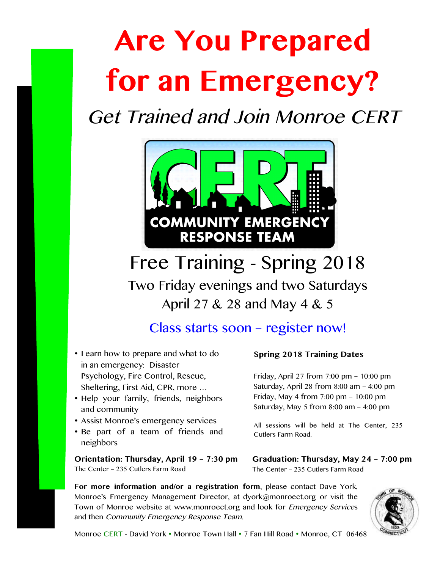# **Are You Prepared for an Emergency?**

Get Trained and Join Monroe CERT



Free Training - Spring 2018 Two Friday evenings and two Saturdays April 27 & 28 and May 4 & 5

## Class starts soon – register now!

- Learn how to prepare and what to do in an emergency: Disaster Psychology, Fire Control, Rescue, Sheltering, First Aid, CPR, more …
- Help your family, friends, neighbors and community
- Assist Monroe's emergency services
- Be part of a team of friends and neighbors

**Orientation: Thursday, April 19 – 7:30 pm** The Center – 235 Cutlers Farm Road

### **Spring 2018 Training Dates**

Friday, April 27 from 7:00 pm – 10:00 pm Saturday, April 28 from 8:00 am – 4:00 pm Friday, May 4 from 7:00 pm – 10:00 pm Saturday, May 5 from 8:00 am – 4:00 pm

All sessions will be held at The Center, 235 Cutlers Farm Road.

**Graduation: Thursday, May 24 – 7:00 pm** The Center – 235 Cutlers Farm Road

**For more information and/or a registration form**, please contact Dave York, Monroe's Emergency Management Director, at dyork@monroect.org or visit the Town of Monroe website at www.monroect.org and look for Emergency Services and then Community Emergency Response Team.



Monroe CERT - David York • Monroe Town Hall • 7 Fan Hill Road • Monroe, CT 06468